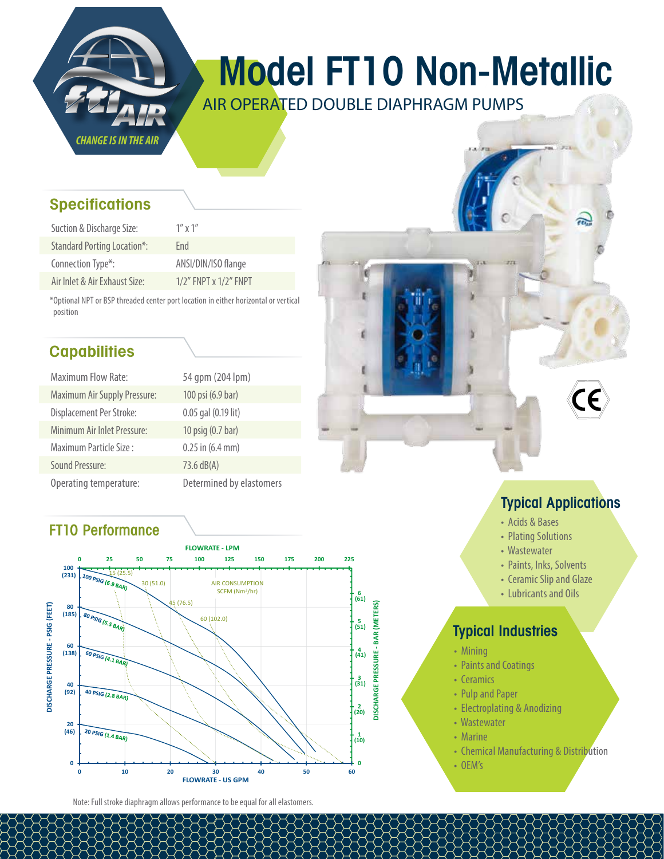

# Model FT10 Non-Metallic

AIR OPERATED DOUBLE DIAPHRAGM PUMPS

#### **Specifications**

| Suction & Discharge Size:          | $1''$ x $1''$               |
|------------------------------------|-----------------------------|
| <b>Standard Porting Location*:</b> | Fnd                         |
| Connection Type*:                  | ANSI/DIN/ISO flange         |
| Air Inlet & Air Exhaust Size:      | $1/2$ " FNPT x $1/2$ " FNPT |

\*Optional NPT or BSP threaded center port location in either horizontal or vertical position

### **Capabilities**

| <b>Maximum Flow Rate:</b>           | 54 qpm (204 lpm)         |
|-------------------------------------|--------------------------|
| <b>Maximum Air Supply Pressure:</b> | 100 psi (6.9 bar)        |
| Displacement Per Stroke:            | 0.05 gal (0.19 lit)      |
| Minimum Air Inlet Pressure:         | 10 psig (0.7 bar)        |
| Maximum Particle Size:              | $0.25$ in $(6.4$ mm)     |
| Sound Pressure:                     | 73.6 dB(A)               |
| Operating temperature:              | Determined by elastomers |

#### FT10 Performance



Note: Full stroke diaphragm allows performance to be equal for all elastomers.

## Typical Applications

m

- Acids & Bases
- Plating Solutions
- Wastewater
- Paints, Inks, Solvents
- Ceramic Slip and Glaze
- Lubricants and Oils

#### Typical Industries

- Mining
- Paints and Coatings
- Ceramics
- Pulp and Paper
- Electroplating & Anodizing
- Wastewater
- Marine
- Chemical Manufacturing & Distribution
- OEM's